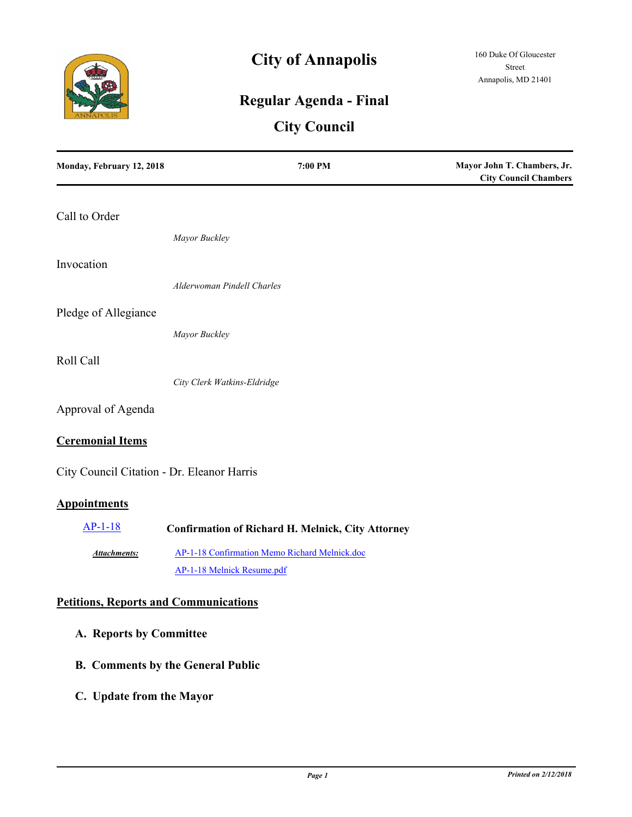

# **City of Annapolis**

# **Regular Agenda - Final**

# **City Council**

| Monday, February 12, 2018                    | 7:00 PM                                                  | Mayor John T. Chambers, Jr.<br><b>City Council Chambers</b> |
|----------------------------------------------|----------------------------------------------------------|-------------------------------------------------------------|
| Call to Order                                |                                                          |                                                             |
|                                              | Mayor Buckley                                            |                                                             |
| Invocation                                   |                                                          |                                                             |
|                                              | Alderwoman Pindell Charles                               |                                                             |
| Pledge of Allegiance                         |                                                          |                                                             |
|                                              | Mayor Buckley                                            |                                                             |
| Roll Call                                    |                                                          |                                                             |
|                                              | City Clerk Watkins-Eldridge                              |                                                             |
| Approval of Agenda                           |                                                          |                                                             |
| <b>Ceremonial Items</b>                      |                                                          |                                                             |
| City Council Citation - Dr. Eleanor Harris   |                                                          |                                                             |
| <b>Appointments</b>                          |                                                          |                                                             |
| $AP-1-18$                                    | <b>Confirmation of Richard H. Melnick, City Attorney</b> |                                                             |
| Attachments:                                 | AP-1-18 Confirmation Memo Richard Melnick.doc            |                                                             |
|                                              | AP-1-18 Melnick Resume.pdf                               |                                                             |
| <b>Petitions, Reports and Communications</b> |                                                          |                                                             |
| A. Reports by Committee                      |                                                          |                                                             |

- **B. Comments by the General Public**
- **C. Update from the Mayor**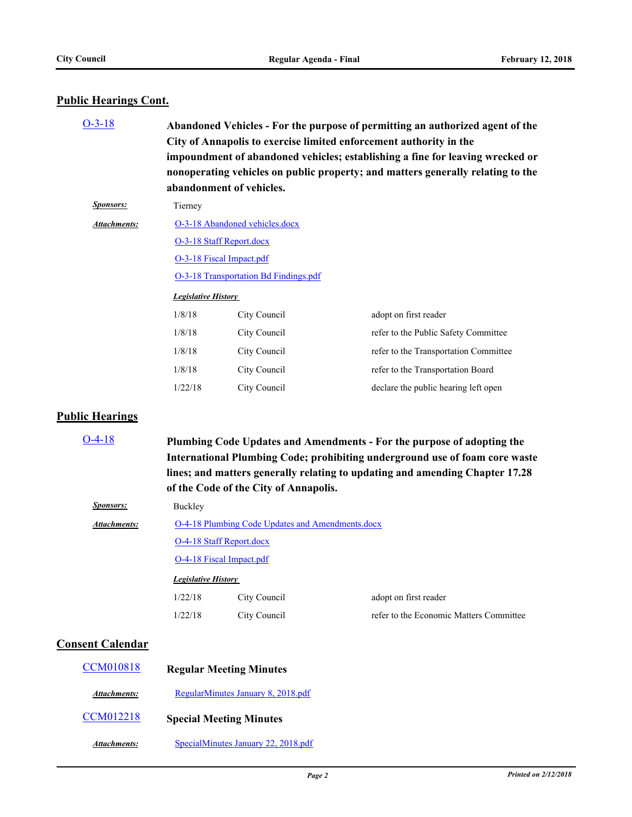# **Public Hearings Cont.**

| $O-3-18$         | Abandoned Vehicles - For the purpose of permitting an authorized agent of the<br>City of Annapolis to exercise limited enforcement authority in the<br>impoundment of abandoned vehicles; establishing a fine for leaving wrecked or<br>nonoperating vehicles on public property; and matters generally relating to the<br>abandonment of vehicles. |              |                                       |
|------------------|-----------------------------------------------------------------------------------------------------------------------------------------------------------------------------------------------------------------------------------------------------------------------------------------------------------------------------------------------------|--------------|---------------------------------------|
| <i>Sponsors:</i> | Tierney                                                                                                                                                                                                                                                                                                                                             |              |                                       |
| Attachments:     | O-3-18 Abandoned vehicles.docx<br>O-3-18 Staff Report.docx<br>O-3-18 Fiscal Impact.pdf                                                                                                                                                                                                                                                              |              |                                       |
|                  |                                                                                                                                                                                                                                                                                                                                                     |              |                                       |
|                  |                                                                                                                                                                                                                                                                                                                                                     |              |                                       |
|                  | O-3-18 Transportation Bd Findings.pdf                                                                                                                                                                                                                                                                                                               |              |                                       |
|                  | <b>Legislative History</b>                                                                                                                                                                                                                                                                                                                          |              |                                       |
|                  | 1/8/18                                                                                                                                                                                                                                                                                                                                              | City Council | adopt on first reader                 |
|                  | 1/8/18                                                                                                                                                                                                                                                                                                                                              | City Council | refer to the Public Safety Committee  |
|                  | 1/8/18                                                                                                                                                                                                                                                                                                                                              | City Council | refer to the Transportation Committee |
|                  | 1/8/18                                                                                                                                                                                                                                                                                                                                              | City Council | refer to the Transportation Board     |
|                  | 1/22/18                                                                                                                                                                                                                                                                                                                                             | City Council | declare the public hearing left open  |

# **Public Hearings**

| $O-4-18$                | Plumbing Code Updates and Amendments - For the purpose of adopting the<br>International Plumbing Code; prohibiting underground use of foam core waste<br>lines; and matters generally relating to updating and amending Chapter 17.28<br>of the Code of the City of Annapolis. |              |                                         |
|-------------------------|--------------------------------------------------------------------------------------------------------------------------------------------------------------------------------------------------------------------------------------------------------------------------------|--------------|-----------------------------------------|
| <b>Sponsors:</b>        | Buckley                                                                                                                                                                                                                                                                        |              |                                         |
| <b>Attachments:</b>     | O-4-18 Plumbing Code Updates and Amendments.docx                                                                                                                                                                                                                               |              |                                         |
|                         | O-4-18 Staff Report.docx                                                                                                                                                                                                                                                       |              |                                         |
|                         | O-4-18 Fiscal Impact.pdf                                                                                                                                                                                                                                                       |              |                                         |
|                         | <b>Legislative History</b>                                                                                                                                                                                                                                                     |              |                                         |
|                         | 1/22/18                                                                                                                                                                                                                                                                        | City Council | adopt on first reader                   |
|                         | 1/22/18                                                                                                                                                                                                                                                                        | City Council | refer to the Economic Matters Committee |
| <b>Consent Calendar</b> |                                                                                                                                                                                                                                                                                |              |                                         |
| <b>CCM010818</b>        | <b>Regular Meeting Minutes</b>                                                                                                                                                                                                                                                 |              |                                         |
| Attachments:            | RegularMinutes January 8, 2018.pdf                                                                                                                                                                                                                                             |              |                                         |
| CCM012218               | <b>Special Meeting Minutes</b>                                                                                                                                                                                                                                                 |              |                                         |

*Attachments:* [SpecialMinutes January 22, 2018.pdf](http://annapolismd.legistar.com/gateway.aspx?M=F&ID=ce49dca6-1e20-45f9-9d31-50a39003c35d.pdf)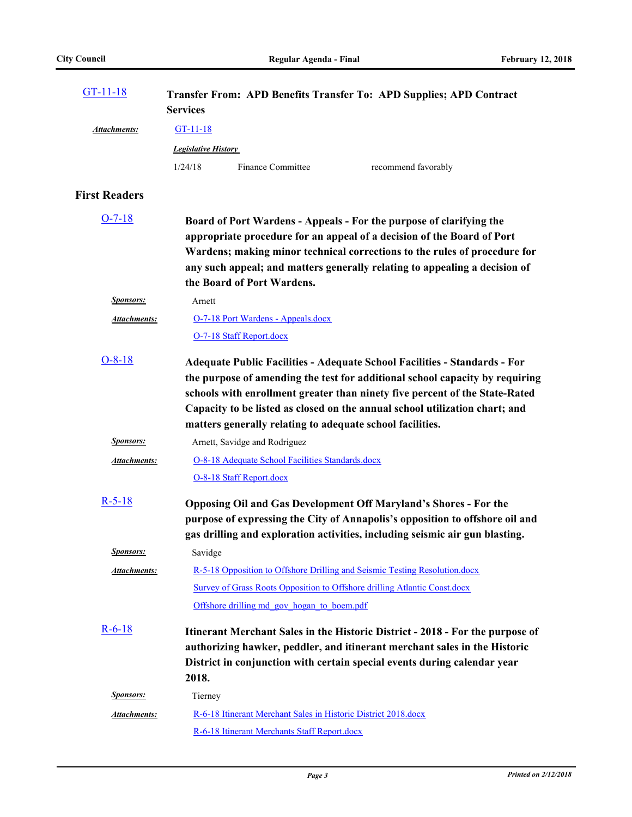| $GT-11-18$           | Transfer From: APD Benefits Transfer To: APD Supplies; APD Contract<br><b>Services</b>                                                                                                                                                                                                                                                                                                      |  |  |
|----------------------|---------------------------------------------------------------------------------------------------------------------------------------------------------------------------------------------------------------------------------------------------------------------------------------------------------------------------------------------------------------------------------------------|--|--|
| Attachments:         | $GT-11-18$                                                                                                                                                                                                                                                                                                                                                                                  |  |  |
|                      | <b>Legislative History</b>                                                                                                                                                                                                                                                                                                                                                                  |  |  |
|                      | Finance Committee<br>1/24/18<br>recommend favorably                                                                                                                                                                                                                                                                                                                                         |  |  |
| <b>First Readers</b> |                                                                                                                                                                                                                                                                                                                                                                                             |  |  |
| $O-7-18$             | Board of Port Wardens - Appeals - For the purpose of clarifying the<br>appropriate procedure for an appeal of a decision of the Board of Port<br>Wardens; making minor technical corrections to the rules of procedure for<br>any such appeal; and matters generally relating to appealing a decision of<br>the Board of Port Wardens.                                                      |  |  |
| <b>Sponsors:</b>     | Arnett                                                                                                                                                                                                                                                                                                                                                                                      |  |  |
| Attachments:         | O-7-18 Port Wardens - Appeals.docx                                                                                                                                                                                                                                                                                                                                                          |  |  |
|                      | O-7-18 Staff Report.docx                                                                                                                                                                                                                                                                                                                                                                    |  |  |
| $O - 8 - 18$         | <b>Adequate Public Facilities - Adequate School Facilities - Standards - For</b><br>the purpose of amending the test for additional school capacity by requiring<br>schools with enrollment greater than ninety five percent of the State-Rated<br>Capacity to be listed as closed on the annual school utilization chart; and<br>matters generally relating to adequate school facilities. |  |  |
| <b>Sponsors:</b>     | Arnett, Savidge and Rodriguez                                                                                                                                                                                                                                                                                                                                                               |  |  |
| <b>Attachments:</b>  | O-8-18 Adequate School Facilities Standards.docx                                                                                                                                                                                                                                                                                                                                            |  |  |
|                      | O-8-18 Staff Report.docx                                                                                                                                                                                                                                                                                                                                                                    |  |  |
| $R-5-18$             | <b>Opposing Oil and Gas Development Off Maryland's Shores - For the</b><br>purpose of expressing the City of Annapolis's opposition to offshore oil and<br>gas drilling and exploration activities, including seismic air gun blasting.                                                                                                                                                     |  |  |
| <b>Sponsors:</b>     | Savidge                                                                                                                                                                                                                                                                                                                                                                                     |  |  |
| Attachments:         | R-5-18 Opposition to Offshore Drilling and Seismic Testing Resolution.docx                                                                                                                                                                                                                                                                                                                  |  |  |
|                      | Survey of Grass Roots Opposition to Offshore drilling Atlantic Coast.docx                                                                                                                                                                                                                                                                                                                   |  |  |
|                      | Offshore drilling md gov hogan to boem.pdf                                                                                                                                                                                                                                                                                                                                                  |  |  |
| $R-6-18$             | Itinerant Merchant Sales in the Historic District - 2018 - For the purpose of<br>authorizing hawker, peddler, and itinerant merchant sales in the Historic<br>District in conjunction with certain special events during calendar year<br>2018.                                                                                                                                             |  |  |
| <b>Sponsors:</b>     | Tierney                                                                                                                                                                                                                                                                                                                                                                                     |  |  |
| <b>Attachments:</b>  | R-6-18 Itinerant Merchant Sales in Historic District 2018.docx                                                                                                                                                                                                                                                                                                                              |  |  |
|                      | R-6-18 Itinerant Merchants Staff Report.docx                                                                                                                                                                                                                                                                                                                                                |  |  |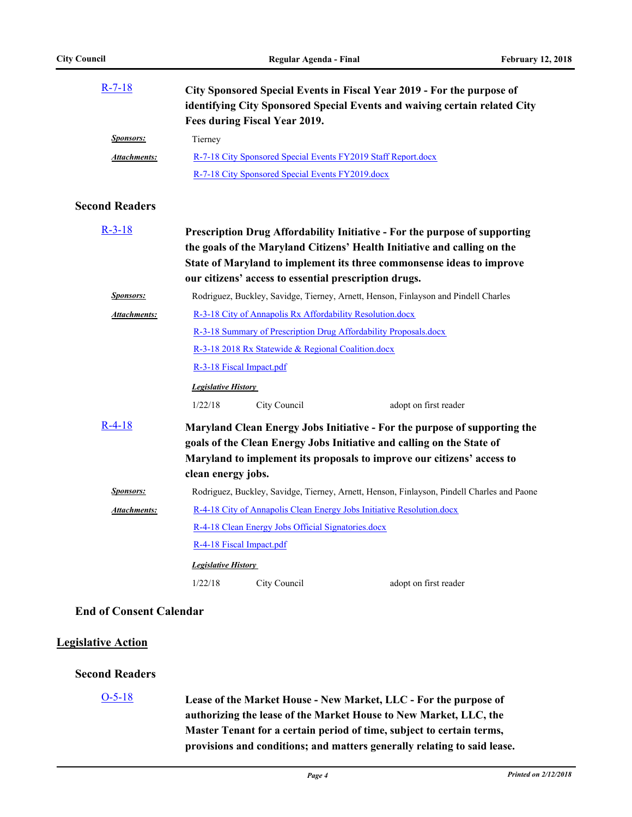| R-7-18              | City Sponsored Special Events in Fiscal Year 2019 - For the purpose of<br>identifying City Sponsored Special Events and waiving certain related City |  |  |
|---------------------|------------------------------------------------------------------------------------------------------------------------------------------------------|--|--|
|                     |                                                                                                                                                      |  |  |
|                     | Fees during Fiscal Year 2019.                                                                                                                        |  |  |
| <i>Sponsors:</i>    | Tierney                                                                                                                                              |  |  |
| <b>Attachments:</b> | R-7-18 City Sponsored Special Events FY2019 Staff Report.docx                                                                                        |  |  |
|                     | R-7-18 City Sponsored Special Events FY2019.docx                                                                                                     |  |  |

## **Second Readers**

| $R-3-18$            | Prescription Drug Affordability Initiative - For the purpose of supporting<br>the goals of the Maryland Citizens' Health Initiative and calling on the<br>State of Maryland to implement its three commonsense ideas to improve<br>our citizens' access to essential prescription drugs. |                                                    |                                                                                                                                                                                                                              |
|---------------------|------------------------------------------------------------------------------------------------------------------------------------------------------------------------------------------------------------------------------------------------------------------------------------------|----------------------------------------------------|------------------------------------------------------------------------------------------------------------------------------------------------------------------------------------------------------------------------------|
| Sponsors:           | Rodriguez, Buckley, Savidge, Tierney, Arnett, Henson, Finlayson and Pindell Charles                                                                                                                                                                                                      |                                                    |                                                                                                                                                                                                                              |
| <b>Attachments:</b> | R-3-18 City of Annapolis Rx Affordability Resolution.docx                                                                                                                                                                                                                                |                                                    |                                                                                                                                                                                                                              |
|                     | R-3-18 Summary of Prescription Drug Affordability Proposals.docx                                                                                                                                                                                                                         |                                                    |                                                                                                                                                                                                                              |
|                     | R-3-18 2018 Rx Statewide & Regional Coalition.docx                                                                                                                                                                                                                                       |                                                    |                                                                                                                                                                                                                              |
|                     | R-3-18 Fiscal Impact.pdf<br><b>Legislative History</b>                                                                                                                                                                                                                                   |                                                    |                                                                                                                                                                                                                              |
|                     |                                                                                                                                                                                                                                                                                          |                                                    |                                                                                                                                                                                                                              |
|                     | 1/22/18                                                                                                                                                                                                                                                                                  | City Council                                       | adopt on first reader                                                                                                                                                                                                        |
| R-4-18              | clean energy jobs.                                                                                                                                                                                                                                                                       |                                                    | Maryland Clean Energy Jobs Initiative - For the purpose of supporting the<br>goals of the Clean Energy Jobs Initiative and calling on the State of<br>Maryland to implement its proposals to improve our citizens' access to |
| Sponsors:           | Rodriguez, Buckley, Savidge, Tierney, Arnett, Henson, Finlayson, Pindell Charles and Paone                                                                                                                                                                                               |                                                    |                                                                                                                                                                                                                              |
| Attachments:        | R-4-18 City of Annapolis Clean Energy Jobs Initiative Resolution.docx                                                                                                                                                                                                                    |                                                    |                                                                                                                                                                                                                              |
|                     |                                                                                                                                                                                                                                                                                          | R-4-18 Clean Energy Jobs Official Signatories.docx |                                                                                                                                                                                                                              |
|                     |                                                                                                                                                                                                                                                                                          | R-4-18 Fiscal Impact.pdf                           |                                                                                                                                                                                                                              |
|                     | <b>Legislative History</b>                                                                                                                                                                                                                                                               |                                                    |                                                                                                                                                                                                                              |
|                     | 1/22/18                                                                                                                                                                                                                                                                                  | City Council                                       | adopt on first reader                                                                                                                                                                                                        |

## **End of Consent Calendar**

## **Legislative Action**

### **Second Readers**

### [O-5-18](http://annapolismd.legistar.com/gateway.aspx?m=l&id=/matter.aspx?key=3465)

**Lease of the Market House - New Market, LLC - For the purpose of authorizing the lease of the Market House to New Market, LLC, the Master Tenant for a certain period of time, subject to certain terms, provisions and conditions; and matters generally relating to said lease.**